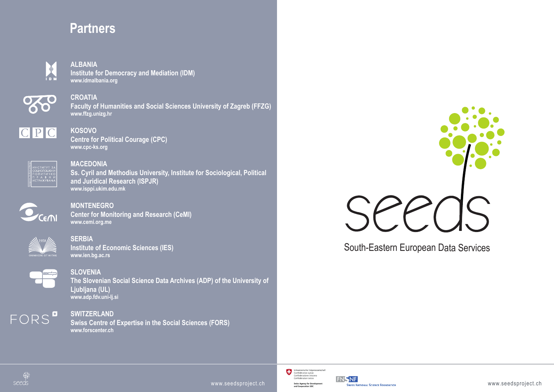## **Partners**



**ALBANIA Institute for Democracy and Mediation (IDM) www.idmalbania.org**



**CROATIA Faculty of Humanities and Social Sciences University of Zagreb (FFZG) www.ffzg.unizg.hr**



**KOSOVO Centre for Political Courage (CPC) www.cpc-ks.org**



**MACEDONIA Ss. Cyril and Methodius University, Institute for Sociological, Political and Juridical Research (ISPJR) www.isppi.ukim.edu.mk**



**MONTENEGRO Center for Monitoring and Research (CeMI) www.cemi.org.me**



**SERBIA Institute of Economic Sciences (IES) www.ien.bg.ac.rs**



**SLOVENIA The Slovenian Social Science Data Archives (ADP) of the University of Ljubljana (UL) www.adp.fdv.uni-lj.si**



**SWITZERLAND Swiss Centre of Expertise in the Social Sciences (FORS) www.forscenter.ch**



South-Eastern European Data Services